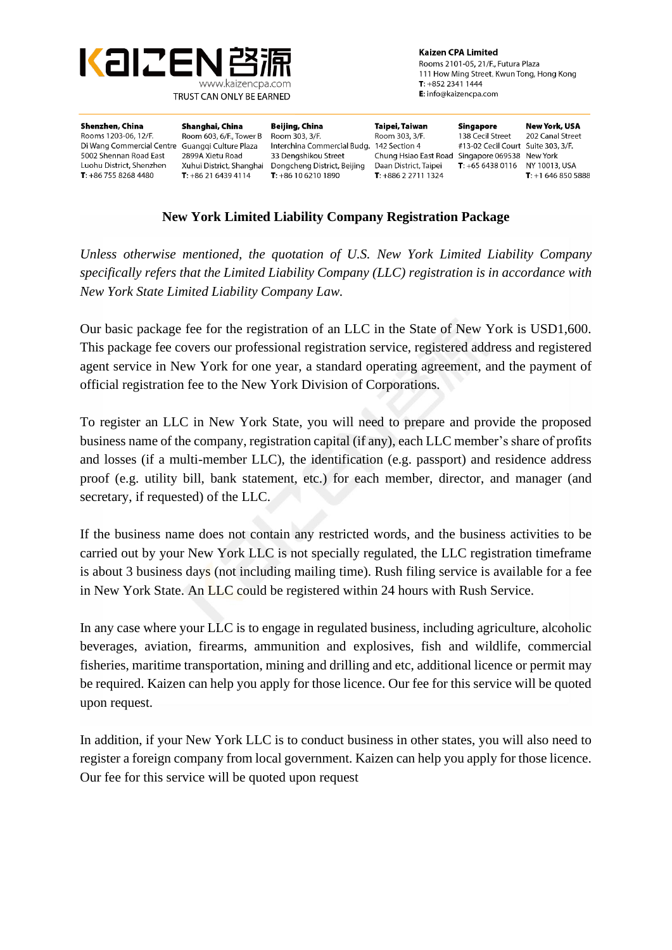

**Kaizen CPA Limited** Rooms 2101-05, 21/F., Futura Plaza 111 How Ming Street, Kwun Tong, Hong Kong  $T: +85223411444$ E: info@kaizencpa.com

| Shenzhen, China           | Shanghai, China          | Beijing, China                            | Taipei, Taiwan                                  | Singapore                          | New York, USA             |
|---------------------------|--------------------------|-------------------------------------------|-------------------------------------------------|------------------------------------|---------------------------|
| Rooms 1203-06, 12/F.      | Room 603, 6/F., Tower B  | Room 303, 3/F.                            | Room 303, 3/F.                                  | 138 Cecil Street                   | 202 Canal Street          |
| Di Wang Commercial Centre | Guanggi Culture Plaza    | Interchina Commercial Budg. 142 Section 4 |                                                 | #13-02 Cecil Court Suite 303, 3/F. |                           |
| 5002 Shennan Road East    | 2899A Xietu Road         | 33 Dengshikou Street                      | Chung Hsiao East Road Singapore 069538 New York |                                    |                           |
| Luohu District, Shenzhen  | Xuhui District, Shanghai | Dongcheng District, Beijing               | Daan District, Taipei                           | <b>T</b> : $+6564380116$           | NY 10013, USA             |
| $T: +8675582684480$       | $T: +862164394114$       | $T: +861062101890$                        | $T: +886227111324$                              |                                    | <b>T</b> : $+16468505888$ |
|                           |                          |                                           |                                                 |                                    |                           |

# **New York Limited Liability Company Registration Package**

*Unless otherwise mentioned, the quotation of U.S. New York Limited Liability Company specifically refers that the Limited Liability Company (LLC) registration is in accordance with New York State Limited Liability Company Law.*

Our basic package fee for the registration of an LLC in the State of New York is USD1,600. This package fee covers our professional registration service, registered address and registered agent service in New York for one year, a standard operating agreement, and the payment of official registration fee to the New York Division of Corporations.

To register an LLC in New York State, you will need to prepare and provide the proposed business name of the company, registration capital (if any), each LLC member's share of profits and losses (if a multi-member LLC), the identification (e.g. passport) and residence address proof (e.g. utility bill, bank statement, etc.) for each member, director, and manager (and secretary, if requested) of the LLC.

If the business name does not contain any restricted words, and the business activities to be carried out by your New York LLC is not specially regulated, the LLC registration timeframe is about 3 business days (not including mailing time). Rush filing service is available for a fee in New York State. An LLC could be registered within 24 hours with Rush Service.

In any case where your LLC is to engage in regulated business, including agriculture, alcoholic beverages, aviation, firearms, ammunition and explosives, fish and wildlife, commercial fisheries, maritime transportation, mining and drilling and etc, additional licence or permit may be required. Kaizen can help you apply for those licence. Our fee for this service will be quoted upon request.

In addition, if your New York LLC is to conduct business in other states, you will also need to register a foreign company from local government. Kaizen can help you apply for those licence. Our fee for this service will be quoted upon request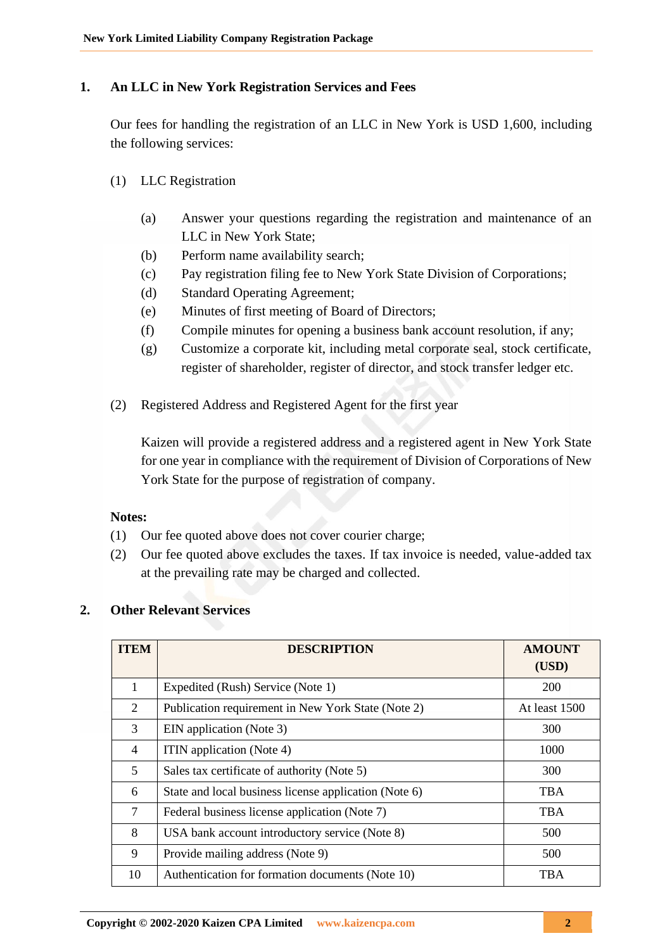# **1. An LLC in New York Registration Services and Fees**

Our fees for handling the registration of an LLC in New York is USD 1,600, including the following services:

- (1) LLC Registration
	- (a) Answer your questions regarding the registration and maintenance of an LLC in New York State;
	- (b) Perform name availability search;
	- (c) Pay registration filing fee to New York State Division of Corporations;
	- (d) Standard Operating Agreement;
	- (e) Minutes of first meeting of Board of Directors;
	- (f) Compile minutes for opening a business bank account resolution, if any;
	- (g) Customize a corporate kit, including metal corporate seal, stock certificate, register of shareholder, register of director, and stock transfer ledger etc.
- (2) Registered Address and Registered Agent for the first year

Kaizen will provide a registered address and a registered agent in New York State for one year in compliance with the requirement of Division of Corporations of New York State for the purpose of registration of company.

### **Notes:**

- (1) Our fee quoted above does not cover courier charge;
- (2) Our fee quoted above excludes the taxes. If tax invoice is needed, value-added tax at the prevailing rate may be charged and collected.

# **2. Other Relevant Services**

| <b>ITEM</b>    | <b>DESCRIPTION</b>                                    | <b>AMOUNT</b><br>(USD) |
|----------------|-------------------------------------------------------|------------------------|
| 1              | Expedited (Rush) Service (Note 1)                     | <b>200</b>             |
| 2              | Publication requirement in New York State (Note 2)    | At least 1500          |
| 3              | EIN application (Note 3)                              | 300                    |
| $\overline{4}$ | ITIN application (Note 4)                             | 1000                   |
| 5              | Sales tax certificate of authority (Note 5)           | 300                    |
| 6              | State and local business license application (Note 6) | <b>TBA</b>             |
| 7              | Federal business license application (Note 7)         | <b>TBA</b>             |
| 8              | USA bank account introductory service (Note 8)        | 500                    |
| 9              | Provide mailing address (Note 9)                      | 500                    |
| 10             | Authentication for formation documents (Note 10)      | <b>TBA</b>             |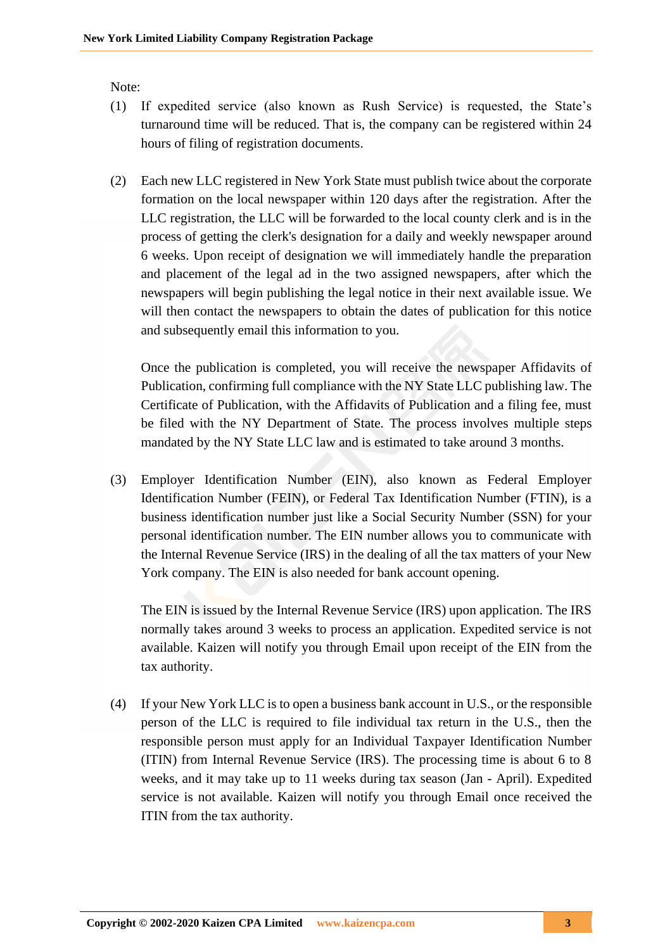Note:

- (1) If expedited service (also known as Rush Service) is requested, the State's turnaround time will be reduced. That is, the company can be registered within 24 hours of filing of registration documents.
- (2) Each new LLC registered in New York State must publish twice about the corporate formation on the local newspaper within 120 days after the registration. After the LLC registration, the LLC will be forwarded to the local county clerk and is in the process of getting the clerk's designation for a daily and weekly newspaper around 6 weeks. Upon receipt of designation we will immediately handle the preparation and placement of the legal ad in the two assigned newspapers, after which the newspapers will begin publishing the legal notice in their next available issue. We will then contact the newspapers to obtain the dates of publication for this notice and subsequently email this information to you.

Once the publication is completed, you will receive the newspaper Affidavits of Publication, confirming full compliance with the NY State LLC publishing law. The Certificate of Publication, with the Affidavits of Publication and a filing fee, must be filed with the NY Department of State. The process involves multiple steps mandated by the NY State LLC law and is estimated to take around 3 months.

(3) Employer Identification Number (EIN), also known as Federal Employer Identification Number (FEIN), or Federal Tax Identification Number (FTIN), is a business identification number just like a Social Security Number (SSN) for your personal identification number. The EIN number allows you to communicate with the Internal Revenue Service (IRS) in the dealing of all the tax matters of your New York company. The EIN is also needed for bank account opening.

The EIN is issued by the Internal Revenue Service (IRS) upon application. The IRS normally takes around 3 weeks to process an application. Expedited service is not available. Kaizen will notify you through Email upon receipt of the EIN from the tax authority.

(4) If your New York LLC is to open a business bank account in U.S., or the responsible person of the LLC is required to file individual tax return in the U.S., then the responsible person must apply for an Individual Taxpayer Identification Number (ITIN) from Internal Revenue Service (IRS). The processing time is about 6 to 8 weeks, and it may take up to 11 weeks during tax season (Jan - April). Expedited service is not available. Kaizen will notify you through Email once received the ITIN from the tax authority.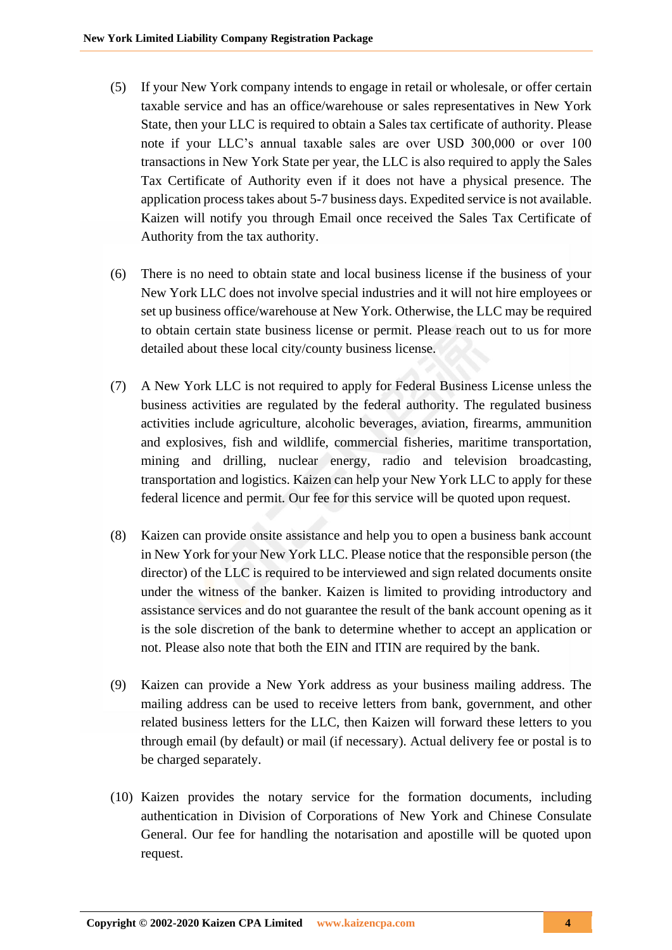- (5) If your New York company intends to engage in retail or wholesale, or offer certain taxable service and has an office/warehouse or sales representatives in New York State, then your LLC is required to obtain a Sales tax certificate of authority. Please note if your LLC's annual taxable sales are over USD 300,000 or over 100 transactions in New York State per year, the LLC is also required to apply the Sales Tax Certificate of Authority even if it does not have a physical presence. The application process takes about 5-7 business days. Expedited service is not available. Kaizen will notify you through Email once received the Sales Tax Certificate of Authority from the tax authority.
- (6) There is no need to obtain state and local business license if the business of your New York LLC does not involve special industries and it will not hire employees or set up business office/warehouse at New York. Otherwise, the LLC may be required to obtain certain state business license or permit. Please reach out to us for more detailed about these local city/county business license.
- (7) A New York LLC is not required to apply for Federal Business License unless the business activities are regulated by the federal authority. The regulated business activities include agriculture, alcoholic beverages, aviation, firearms, ammunition and explosives, fish and wildlife, commercial fisheries, maritime transportation, mining and drilling, nuclear energy, radio and television broadcasting, transportation and logistics. Kaizen can help your New York LLC to apply for these federal licence and permit. Our fee for this service will be quoted upon request.
- (8) Kaizen can provide onsite assistance and help you to open a business bank account in New York for your New York LLC. Please notice that the responsible person (the director) of the LLC is required to be interviewed and sign related documents onsite under the witness of the banker. Kaizen is limited to providing introductory and assistance services and do not guarantee the result of the bank account opening as it is the sole discretion of the bank to determine whether to accept an application or not. Please also note that both the EIN and ITIN are required by the bank.
- (9) Kaizen can provide a New York address as your business mailing address. The mailing address can be used to receive letters from bank, government, and other related business letters for the LLC, then Kaizen will forward these letters to you through email (by default) or mail (if necessary). Actual delivery fee or postal is to be charged separately.
- (10) Kaizen provides the notary service for the formation documents, including authentication in Division of Corporations of New York and Chinese Consulate General. Our fee for handling the notarisation and apostille will be quoted upon request.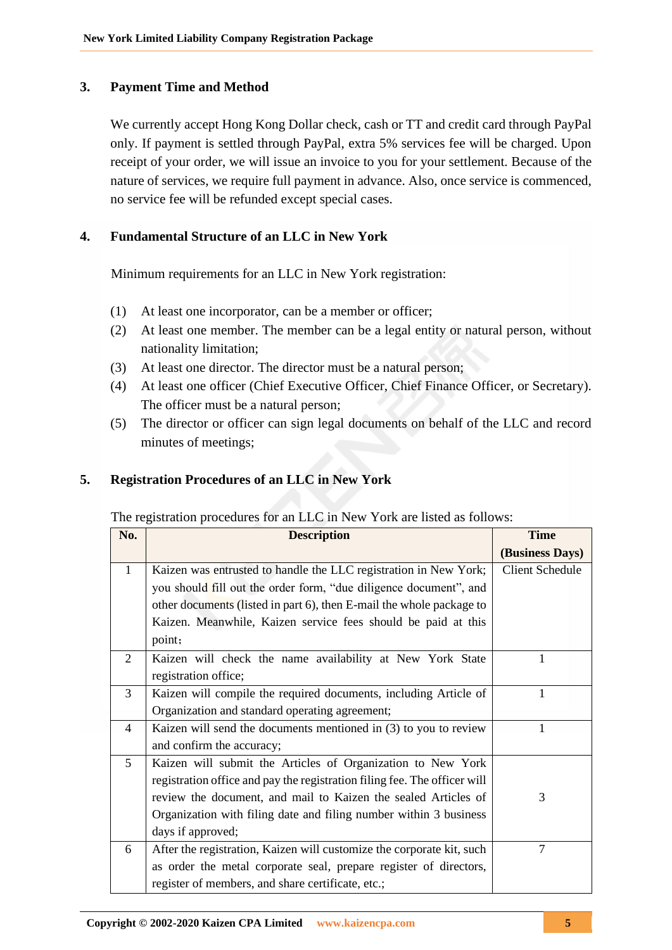# **3. Payment Time and Method**

We currently accept Hong Kong Dollar check, cash or TT and credit card through PayPal only. If payment is settled through PayPal, extra 5% services fee will be charged. Upon receipt of your order, we will issue an invoice to you for your settlement. Because of the nature of services, we require full payment in advance. Also, once service is commenced, no service fee will be refunded except special cases.

# **4. Fundamental Structure of an LLC in New York**

Minimum requirements for an LLC in New York registration:

- (1) At least one incorporator, can be a member or officer;
- (2) At least one member. The member can be a legal entity or natural person, without nationality limitation;
- (3) At least one director. The director must be a natural person;
- (4) At least one officer (Chief Executive Officer, Chief Finance Officer, or Secretary). The officer must be a natural person;
- (5) The director or officer can sign legal documents on behalf of the LLC and record minutes of meetings;

# **5. Registration Procedures of an LLC in New York**

### The registration procedures for an LLC in New York are listed as follows:

| No.            | <b>Description</b>                                                        | <b>Time</b>            |
|----------------|---------------------------------------------------------------------------|------------------------|
|                |                                                                           | (Business Days)        |
| $\mathbf{1}$   | Kaizen was entrusted to handle the LLC registration in New York;          | <b>Client Schedule</b> |
|                | you should fill out the order form, "due diligence document", and         |                        |
|                | other documents (listed in part 6), then E-mail the whole package to      |                        |
|                | Kaizen. Meanwhile, Kaizen service fees should be paid at this             |                        |
|                | point;                                                                    |                        |
| 2              | Kaizen will check the name availability at New York State                 |                        |
|                | registration office;                                                      |                        |
| 3              | Kaizen will compile the required documents, including Article of          |                        |
|                | Organization and standard operating agreement;                            |                        |
| $\overline{4}$ | Kaizen will send the documents mentioned in (3) to you to review          |                        |
|                | and confirm the accuracy;                                                 |                        |
| $\mathfrak{H}$ | Kaizen will submit the Articles of Organization to New York               |                        |
|                | registration office and pay the registration filing fee. The officer will |                        |
|                | review the document, and mail to Kaizen the sealed Articles of            | 3                      |
|                | Organization with filing date and filing number within 3 business         |                        |
|                | days if approved;                                                         |                        |
| 6              | After the registration, Kaizen will customize the corporate kit, such     | $\tau$                 |
|                | as order the metal corporate seal, prepare register of directors,         |                        |
|                | register of members, and share certificate, etc.;                         |                        |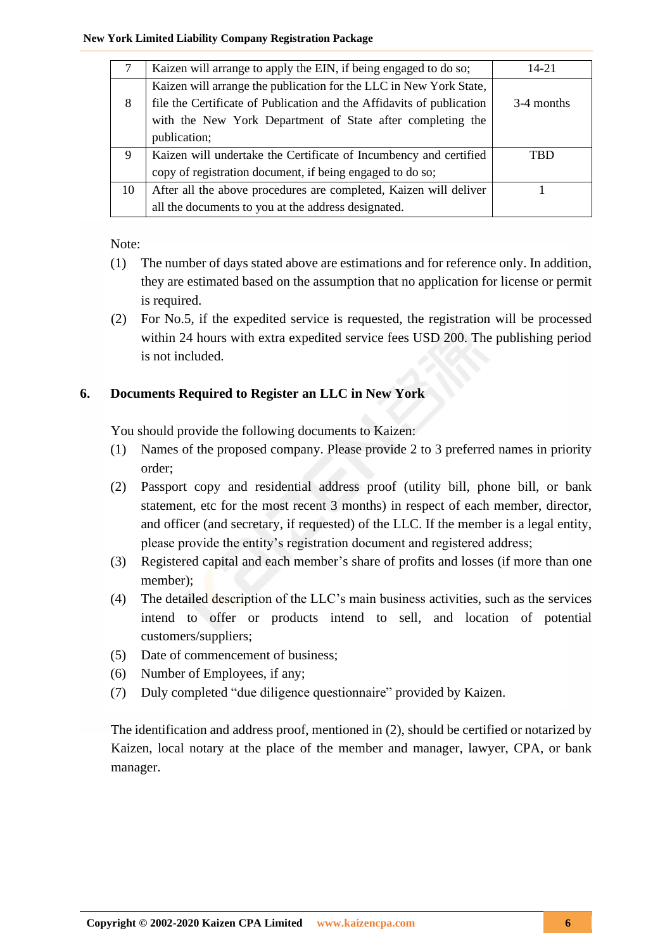#### **New York Limited Liability Company Registration Package**

| 7  | Kaizen will arrange to apply the EIN, if being engaged to do so;      | $14 - 21$  |
|----|-----------------------------------------------------------------------|------------|
|    | Kaizen will arrange the publication for the LLC in New York State,    |            |
| 8  | file the Certificate of Publication and the Affidavits of publication | 3-4 months |
|    | with the New York Department of State after completing the            |            |
|    | publication;                                                          |            |
| 9  | Kaizen will undertake the Certificate of Incumbency and certified     | TBD        |
|    | copy of registration document, if being engaged to do so;             |            |
| 10 | After all the above procedures are completed, Kaizen will deliver     |            |
|    | all the documents to you at the address designated.                   |            |

Note:

- (1) The number of days stated above are estimations and for reference only. In addition, they are estimated based on the assumption that no application for license or permit is required.
- (2) For No.5, if the expedited service is requested, the registration will be processed within 24 hours with extra expedited service fees USD 200. The publishing period is not included.

# **6. Documents Required to Register an LLC in New York**

You should provide the following documents to Kaizen:

- (1) Names of the proposed company. Please provide 2 to 3 preferred names in priority order;
- (2) Passport copy and residential address proof (utility bill, phone bill, or bank statement, etc for the most recent 3 months) in respect of each member, director, and officer (and secretary, if requested) of the LLC. If the member is a legal entity, please provide the entity's registration document and registered address;
- (3) Registered capital and each member's share of profits and losses (if more than one member);
- (4) The detailed description of the LLC's main business activities, such as the services intend to offer or products intend to sell, and location of potential customers/suppliers;
- (5) Date of commencement of business;
- (6) Number of Employees, if any;
- (7) Duly completed "due diligence questionnaire" provided by Kaizen.

The identification and address proof, mentioned in (2), should be certified or notarized by Kaizen, local notary at the place of the member and manager, lawyer, CPA, or bank manager.